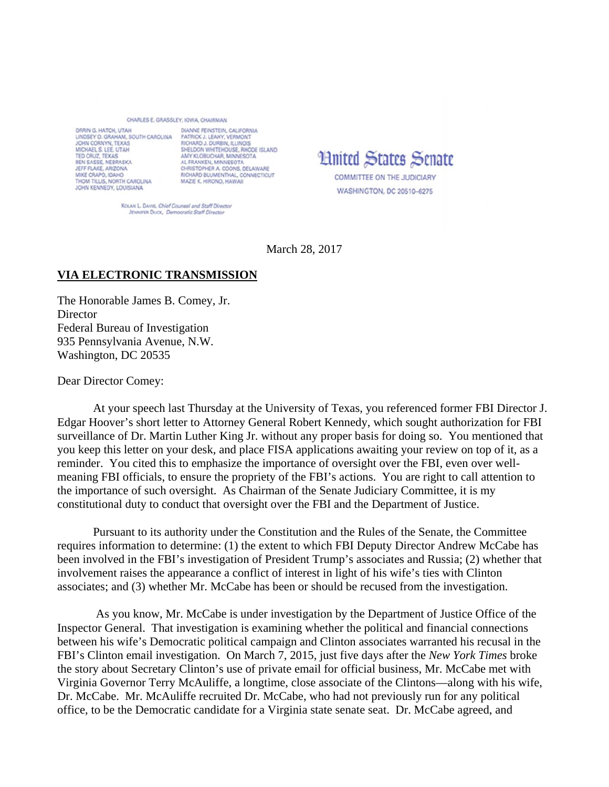## CHARLES E. GRASSLEY, IOWA, CHAIRMAN

ORRIN G. HATCH, UTAH LINDSEY O. GRAHAM, SOUTH CAROLINA PATRICK J. LEAHY, VERMONT JOHN CORNYN, TEXAS MICHAEL S. LEE, UTAH TED CRUZ, TEXAS BEN SASSE, NEBRASKA<br>JEFF FLAKE, ARIZONA MIKE CRAPO, IDAHO<br>THOM TILLIS, NORTH CAROLINA JOHN KENNEDY, LOUISIANA

DIANNE FEINSTEIN, CALIFORNIA RICHARD J. DURBIN, ILLINOIS SHELDON WHITEHOUSE, RHODE ISLAND AMY KLOBUCHAR, MINNESOTA AL FRANKEN, MINNESOTA CHRISTOPHER A. COONS, DELAWARE RICHARD BLUMENTHAL, CONNECTICUT MAZIE K. HIRONO, HAWAII

**Hnited States Senate** COMMITTEE ON THE JUDICIARY WASHINGTON, DC 20510-6275

KOLAN L. DAVIS, Chief Counsel and Staff Director JENNIFER DUCK, Democratic Staff Directs

March 28, 2017

## **VIA ELECTRONIC TRANSMISSION**

The Honorable James B. Comey, Jr. **Director** Federal Bureau of Investigation 935 Pennsylvania Avenue, N.W. Washington, DC 20535

Dear Director Comey:

 At your speech last Thursday at the University of Texas, you referenced former FBI Director J. Edgar Hoover's short letter to Attorney General Robert Kennedy, which sought authorization for FBI surveillance of Dr. Martin Luther King Jr. without any proper basis for doing so. You mentioned that you keep this letter on your desk, and place FISA applications awaiting your review on top of it, as a reminder. You cited this to emphasize the importance of oversight over the FBI, even over wellmeaning FBI officials, to ensure the propriety of the FBI's actions. You are right to call attention to the importance of such oversight. As Chairman of the Senate Judiciary Committee, it is my constitutional duty to conduct that oversight over the FBI and the Department of Justice.

Pursuant to its authority under the Constitution and the Rules of the Senate, the Committee requires information to determine: (1) the extent to which FBI Deputy Director Andrew McCabe has been involved in the FBI's investigation of President Trump's associates and Russia; (2) whether that involvement raises the appearance a conflict of interest in light of his wife's ties with Clinton associates; and (3) whether Mr. McCabe has been or should be recused from the investigation.

 As you know, Mr. McCabe is under investigation by the Department of Justice Office of the Inspector General. That investigation is examining whether the political and financial connections between his wife's Democratic political campaign and Clinton associates warranted his recusal in the FBI's Clinton email investigation. On March 7, 2015, just five days after the *New York Times* broke the story about Secretary Clinton's use of private email for official business, Mr. McCabe met with Virginia Governor Terry McAuliffe, a longtime, close associate of the Clintons—along with his wife, Dr. McCabe. Mr. McAuliffe recruited Dr. McCabe, who had not previously run for any political office, to be the Democratic candidate for a Virginia state senate seat. Dr. McCabe agreed, and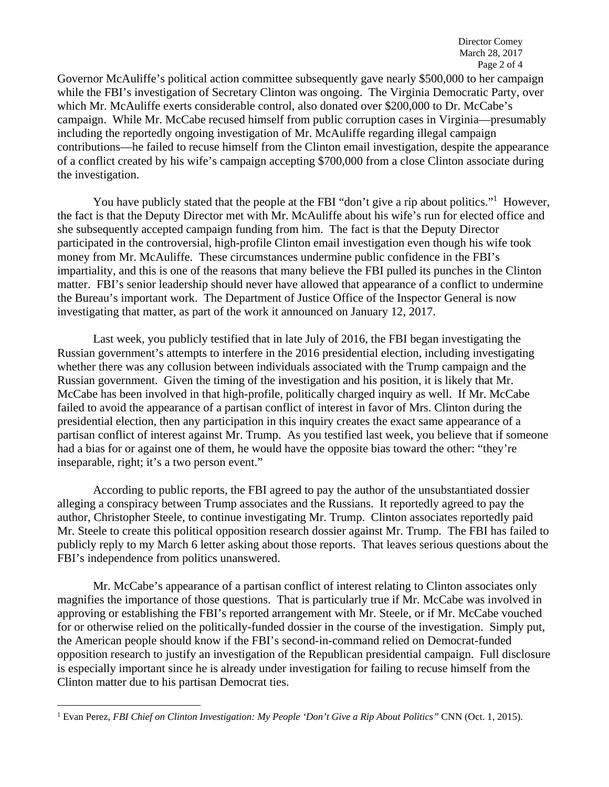Governor McAuliffe's political action committee subsequently gave nearly \$500,000 to her campaign while the FBI's investigation of Secretary Clinton was ongoing. The Virginia Democratic Party, over which Mr. McAuliffe exerts considerable control, also donated over \$200,000 to Dr. McCabe's campaign. While Mr. McCabe recused himself from public corruption cases in Virginia—presumably including the reportedly ongoing investigation of Mr. McAuliffe regarding illegal campaign contributions—he failed to recuse himself from the Clinton email investigation, despite the appearance of a conflict created by his wife's campaign accepting \$700,000 from a close Clinton associate during the investigation.

You have publicly stated that the people at the FBI "don't give a rip about politics."<sup>1</sup> However, the fact is that the Deputy Director met with Mr. McAuliffe about his wife's run for elected office and she subsequently accepted campaign funding from him. The fact is that the Deputy Director participated in the controversial, high-profile Clinton email investigation even though his wife took money from Mr. McAuliffe. These circumstances undermine public confidence in the FBI's impartiality, and this is one of the reasons that many believe the FBI pulled its punches in the Clinton matter. FBI's senior leadership should never have allowed that appearance of a conflict to undermine the Bureau's important work. The Department of Justice Office of the Inspector General is now investigating that matter, as part of the work it announced on January 12, 2017.

Last week, you publicly testified that in late July of 2016, the FBI began investigating the Russian government's attempts to interfere in the 2016 presidential election, including investigating whether there was any collusion between individuals associated with the Trump campaign and the Russian government. Given the timing of the investigation and his position, it is likely that Mr. McCabe has been involved in that high-profile, politically charged inquiry as well. If Mr. McCabe failed to avoid the appearance of a partisan conflict of interest in favor of Mrs. Clinton during the presidential election, then any participation in this inquiry creates the exact same appearance of a partisan conflict of interest against Mr. Trump. As you testified last week, you believe that if someone had a bias for or against one of them, he would have the opposite bias toward the other: "they're inseparable, right; it's a two person event."

 According to public reports, the FBI agreed to pay the author of the unsubstantiated dossier alleging a conspiracy between Trump associates and the Russians. It reportedly agreed to pay the author, Christopher Steele, to continue investigating Mr. Trump. Clinton associates reportedly paid Mr. Steele to create this political opposition research dossier against Mr. Trump. The FBI has failed to publicly reply to my March 6 letter asking about those reports. That leaves serious questions about the FBI's independence from politics unanswered.

Mr. McCabe's appearance of a partisan conflict of interest relating to Clinton associates only magnifies the importance of those questions. That is particularly true if Mr. McCabe was involved in approving or establishing the FBI's reported arrangement with Mr. Steele, or if Mr. McCabe vouched for or otherwise relied on the politically-funded dossier in the course of the investigation. Simply put, the American people should know if the FBI's second-in-command relied on Democrat-funded opposition research to justify an investigation of the Republican presidential campaign. Full disclosure is especially important since he is already under investigation for failing to recuse himself from the Clinton matter due to his partisan Democrat ties.

 1 Evan Perez, *FBI Chief on Clinton Investigation: My People 'Don't Give a Rip About Politics"* CNN (Oct. 1, 2015).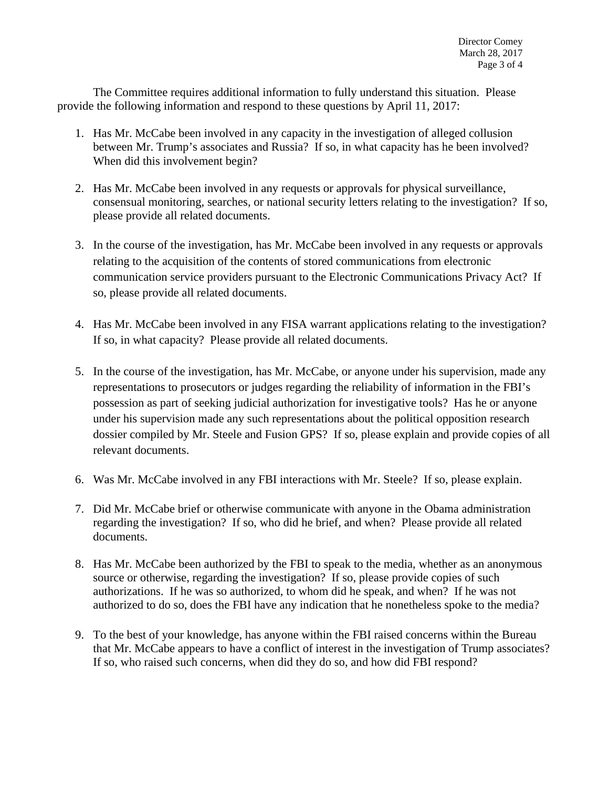The Committee requires additional information to fully understand this situation. Please provide the following information and respond to these questions by April 11, 2017:

- 1. Has Mr. McCabe been involved in any capacity in the investigation of alleged collusion between Mr. Trump's associates and Russia? If so, in what capacity has he been involved? When did this involvement begin?
- 2. Has Mr. McCabe been involved in any requests or approvals for physical surveillance, consensual monitoring, searches, or national security letters relating to the investigation? If so, please provide all related documents.
- 3. In the course of the investigation, has Mr. McCabe been involved in any requests or approvals relating to the acquisition of the contents of stored communications from electronic communication service providers pursuant to the Electronic Communications Privacy Act? If so, please provide all related documents.
- 4. Has Mr. McCabe been involved in any FISA warrant applications relating to the investigation? If so, in what capacity? Please provide all related documents.
- 5. In the course of the investigation, has Mr. McCabe, or anyone under his supervision, made any representations to prosecutors or judges regarding the reliability of information in the FBI's possession as part of seeking judicial authorization for investigative tools? Has he or anyone under his supervision made any such representations about the political opposition research dossier compiled by Mr. Steele and Fusion GPS? If so, please explain and provide copies of all relevant documents.
- 6. Was Mr. McCabe involved in any FBI interactions with Mr. Steele? If so, please explain.
- 7. Did Mr. McCabe brief or otherwise communicate with anyone in the Obama administration regarding the investigation? If so, who did he brief, and when? Please provide all related documents.
- 8. Has Mr. McCabe been authorized by the FBI to speak to the media, whether as an anonymous source or otherwise, regarding the investigation? If so, please provide copies of such authorizations. If he was so authorized, to whom did he speak, and when? If he was not authorized to do so, does the FBI have any indication that he nonetheless spoke to the media?
- 9. To the best of your knowledge, has anyone within the FBI raised concerns within the Bureau that Mr. McCabe appears to have a conflict of interest in the investigation of Trump associates? If so, who raised such concerns, when did they do so, and how did FBI respond?